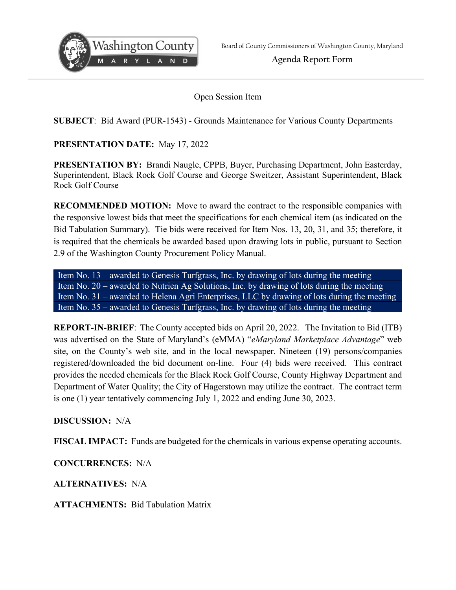

---

**Agenda Report Form** 

Open Session Item

**SUBJECT**: Bid Award (PUR-1543) - Grounds Maintenance for Various County Departments

**PRESENTATION DATE:** May 17, 2022

**PRESENTATION BY:** Brandi Naugle, CPPB, Buyer, Purchasing Department, John Easterday, Superintendent, Black Rock Golf Course and George Sweitzer, Assistant Superintendent, Black Rock Golf Course

**RECOMMENDED MOTION:** Move to award the contract to the responsible companies with the responsive lowest bids that meet the specifications for each chemical item (as indicated on the Bid Tabulation Summary). Tie bids were received for Item Nos. 13, 20, 31, and 35; therefore, it is required that the chemicals be awarded based upon drawing lots in public, pursuant to Section 2.9 of the Washington County Procurement Policy Manual.

Item No. 13 – awarded to Genesis Turfgrass, Inc. by drawing of lots during the meeting Item No. 20 – awarded to Nutrien Ag Solutions, Inc. by drawing of lots during the meeting Item No. 31 – awarded to Helena Agri Enterprises, LLC by drawing of lots during the meeting Item No. 35 – awarded to Genesis Turfgrass, Inc. by drawing of lots during the meeting

**REPORT-IN-BRIEF**: The County accepted bids on April 20, 2022. The Invitation to Bid (ITB) was advertised on the State of Maryland's (eMMA) "*eMaryland Marketplace Advantage*" web site, on the County's web site, and in the local newspaper. Nineteen (19) persons/companies registered/downloaded the bid document on-line. Four (4) bids were received. This contract provides the needed chemicals for the Black Rock Golf Course, County Highway Department and Department of Water Quality; the City of Hagerstown may utilize the contract. The contract term is one (1) year tentatively commencing July 1, 2022 and ending June 30, 2023.

**DISCUSSION:** N/A

**FISCAL IMPACT:** Funds are budgeted for the chemicals in various expense operating accounts.

**CONCURRENCES:** N/A

**ALTERNATIVES:** N/A

**ATTACHMENTS:** Bid Tabulation Matrix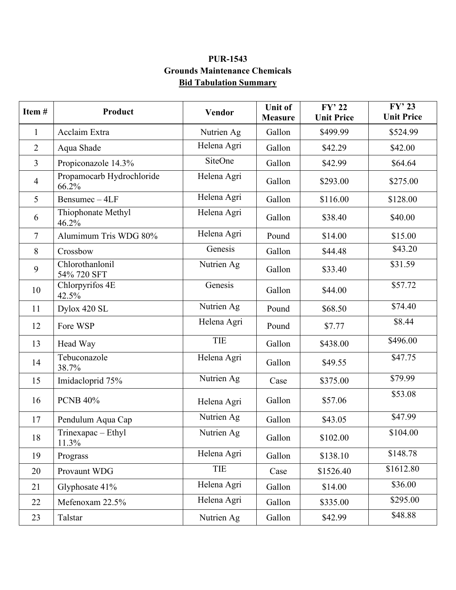## **PUR-1543 Grounds Maintenance Chemicals Bid Tabulation Summary**

| Item#          | Product                            | Vendor      | <b>Unit of</b><br><b>Measure</b> | $FY'$ 22<br><b>Unit Price</b> | $FY'$ 23<br><b>Unit Price</b> |
|----------------|------------------------------------|-------------|----------------------------------|-------------------------------|-------------------------------|
| $\mathbf{1}$   | Acclaim Extra                      | Nutrien Ag  | Gallon                           | \$499.99                      | \$524.99                      |
| $\overline{2}$ | Aqua Shade                         | Helena Agri | Gallon                           | \$42.29                       | \$42.00                       |
| $\overline{3}$ | Propiconazole 14.3%                | SiteOne     | Gallon                           | \$42.99                       | \$64.64                       |
| $\overline{4}$ | Propamocarb Hydrochloride<br>66.2% | Helena Agri | Gallon                           | \$293.00                      | \$275.00                      |
| 5              | Bensumec-4LF                       | Helena Agri | Gallon                           | \$116.00                      | \$128.00                      |
| 6              | Thiophonate Methyl<br>46.2%        | Helena Agri | Gallon                           | \$38.40                       | \$40.00                       |
| $\overline{7}$ | Alumimum Tris WDG 80%              | Helena Agri | Pound                            | \$14.00                       | \$15.00                       |
| 8              | Crossbow                           | Genesis     | Gallon                           | \$44.48                       | \$43.20                       |
| 9              | Chlorothanlonil<br>54% 720 SFT     | Nutrien Ag  | Gallon                           | \$33.40                       | \$31.59                       |
| 10             | Chlorpyrifos 4E<br>42.5%           | Genesis     | Gallon                           | \$44.00                       | \$57.72                       |
| 11             | Dylox 420 SL                       | Nutrien Ag  | Pound                            | \$68.50                       | \$74.40                       |
| 12             | Fore WSP                           | Helena Agri | Pound                            | \$7.77                        | \$8.44                        |
| 13             | Head Way                           | <b>TIE</b>  | Gallon                           | \$438.00                      | \$496.00                      |
| 14             | Tebuconazole<br>38.7%              | Helena Agri | Gallon                           | \$49.55                       | \$47.75                       |
| 15             | Imidacloprid 75%                   | Nutrien Ag  | Case                             | \$375.00                      | \$79.99                       |
| 16             | <b>PCNB 40%</b>                    | Helena Agri | Gallon                           | \$57.06                       | \$53.08                       |
| 17             | Pendulum Aqua Cap                  | Nutrien Ag  | Gallon                           | \$43.05                       | \$47.99                       |
| $18\,$         | Trinexapac - Ethyl<br>11.3%        | Nutrien Ag  | Gallon                           | \$102.00                      | \$104.00                      |
| 19             | Prograss                           | Helena Agri | Gallon                           | \$138.10                      | \$148.78                      |
| 20             | Provaunt WDG                       | TIE         | Case                             | \$1526.40                     | \$1612.80                     |
| 21             | Glyphosate 41%                     | Helena Agri | Gallon                           | \$14.00                       | \$36.00                       |
| 22             | Mefenoxam 22.5%                    | Helena Agri | Gallon                           | \$335.00                      | \$295.00                      |
| 23             | Talstar                            | Nutrien Ag  | Gallon                           | \$42.99                       | \$48.88                       |